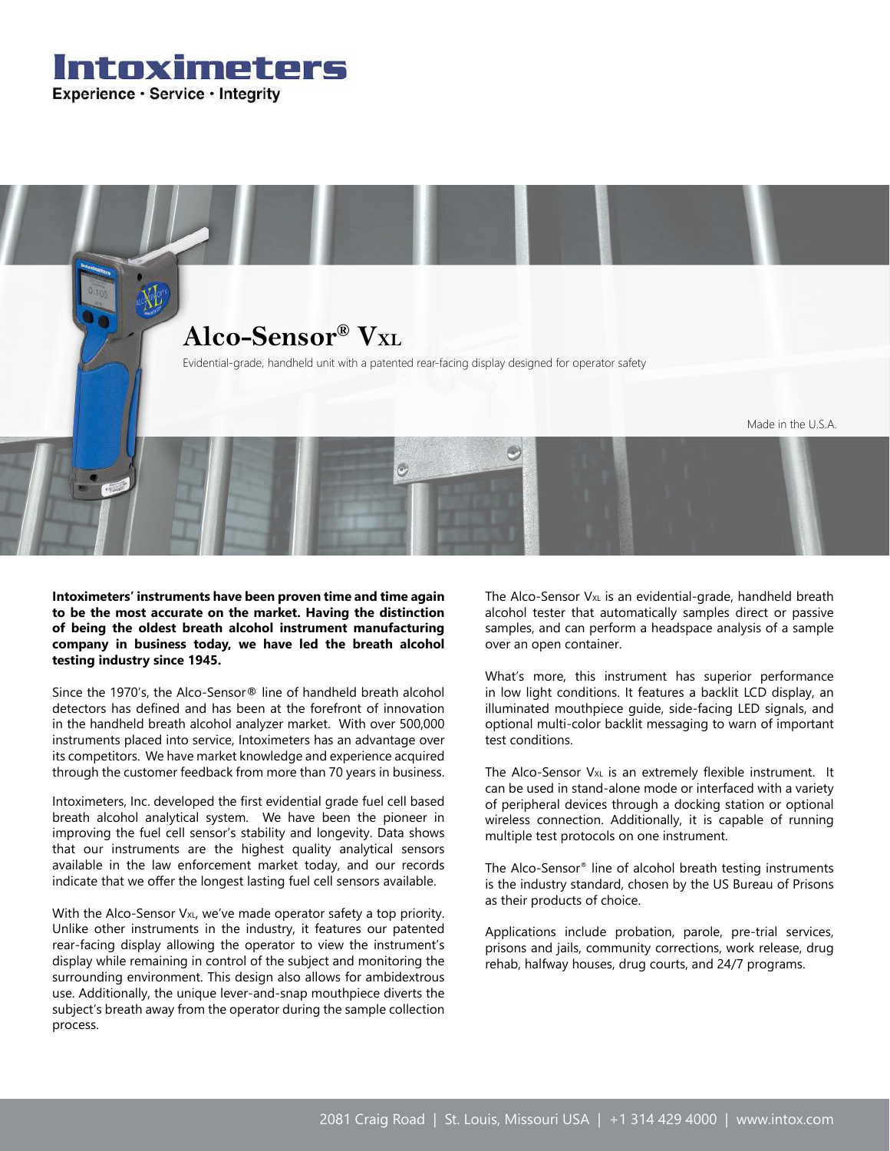



**Intoximeters' instruments have been proven time and time again to be the most accurate on the market. Having the distinction of being the oldest breath alcohol instrument manufacturing company in business today, we have led the breath alcohol testing industry since 1945.**

Since the 1970's, the Alco-Sensor® line of handheld breath alcohol detectors has defined and has been at the forefront of innovation in the handheld breath alcohol analyzer market. With over 500,000 instruments placed into service, Intoximeters has an advantage over its competitors. We have market knowledge and experience acquired through the customer feedback from more than 70 years in business.

Intoximeters, Inc. developed the first evidential grade fuel cell based breath alcohol analytical system. We have been the pioneer in improving the fuel cell sensor's stability and longevity. Data shows that our instruments are the highest quality analytical sensors available in the law enforcement market today, and our records indicate that we offer the longest lasting fuel cell sensors available.

With the Alco-Sensor V<sub>XL</sub>, we've made operator safety a top priority. Unlike other instruments in the industry, it features our patented rear-facing display allowing the operator to view the instrument's display while remaining in control of the subject and monitoring the surrounding environment. This design also allows for ambidextrous use. Additionally, the unique lever-and-snap mouthpiece diverts the subject's breath away from the operator during the sample collection process.

The Alco-Sensor  $V_{XL}$  is an evidential-grade, handheld breath alcohol tester that automatically samples direct or passive samples, and can perform a headspace analysis of a sample over an open container.

What's more, this instrument has superior performance in low light conditions. It features a backlit LCD display, an illuminated mouthpiece guide, side-facing LED signals, and optional multi-color backlit messaging to warn of important test conditions.

The Alco-Sensor  $V_{XL}$  is an extremely flexible instrument. It can be used in stand-alone mode or interfaced with a variety of peripheral devices through a docking station or optional wireless connection. Additionally, it is capable of running multiple test protocols on one instrument.

The Alco-Sensor® line of alcohol breath testing instruments is the industry standard, chosen by the US Bureau of Prisons as their products of choice.

Applications include probation, parole, pre-trial services, prisons and jails, community corrections, work release, drug rehab, halfway houses, drug courts, and 24/7 programs.